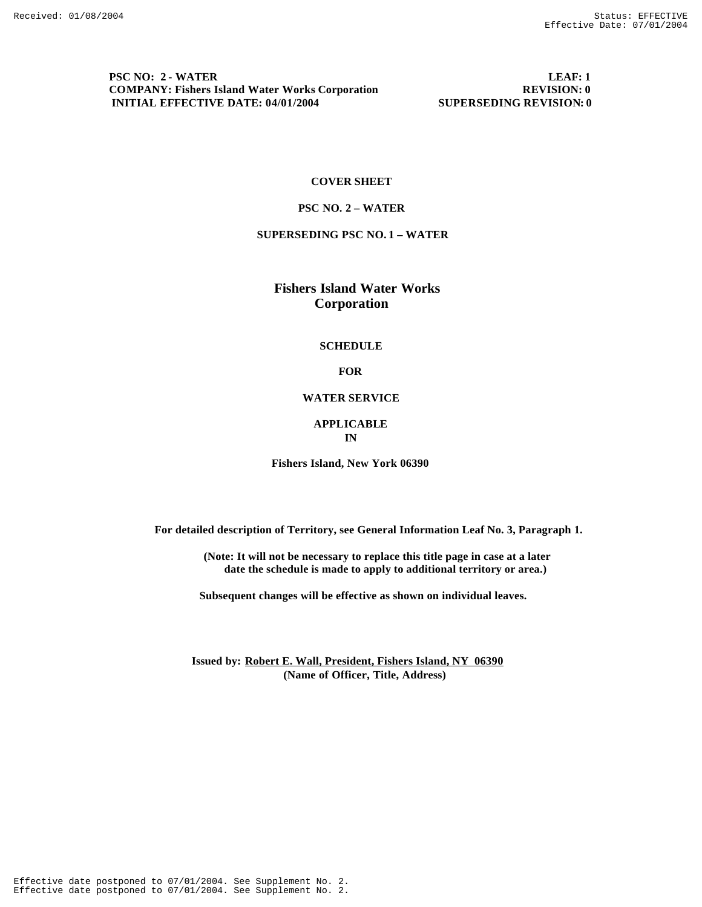**PSC NO: 2 - WATER LEAF: 1**<br>COMPANY: Fishers Island Water Works Corporation REVISION: 0 **COMPANY: Fishers Island Water Works Corporation 8 8 REVISION: 0**<br> **INITIAL EFFECTIVE DATE: 04/01/2004** 8 8 SUPERSEDING REVISION: 0 **INITIAL EFFECTIVE DATE: 04/01/2004** 

#### **COVER SHEET**

#### **PSC NO. 2 – WATER**

## **SUPERSEDING PSC NO. 1 – WATER**

 **Fishers Island Water Works Corporation**

#### **SCHEDULE**

### **FOR**

# **WATER SERVICE**

#### **APPLICABLE IN**

**Fishers Island, New York 06390**

 **For detailed description of Territory, see General Information Leaf No. 3, Paragraph 1.**

 **(Note: It will not be necessary to replace this title page in case at a later date the schedule is made to apply to additional territory or area.)**

 **Subsequent changes will be effective as shown on individual leaves.**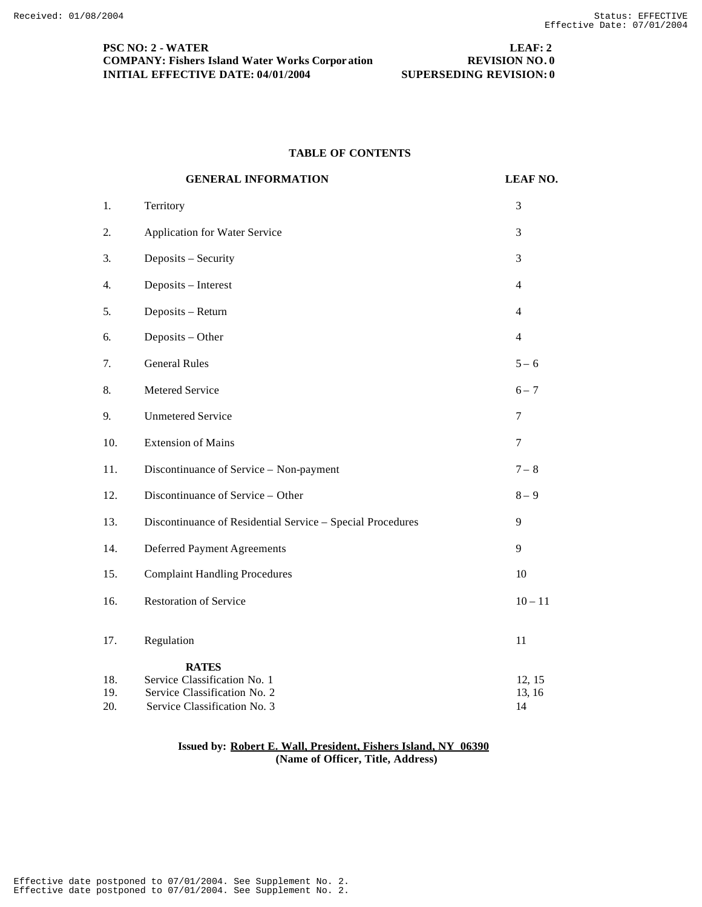# **PSC NO: 2 - WATER LEAF: 2 COMPANY: Fishers Island Water Works Corpor ation REVISION NO. 0 INITIAL EFFECTIVE DATE: 04/01/2004 SUPERSEDING REVISION: 0**

# **TABLE OF CONTENTS**

|     | <b>GENERAL INFORMATION</b>                                 | <b>LEAF NO.</b> |
|-----|------------------------------------------------------------|-----------------|
| 1.  | Territory                                                  | $\mathfrak{Z}$  |
| 2.  | <b>Application for Water Service</b>                       | 3               |
| 3.  | Deposits - Security                                        | 3               |
| 4.  | Deposits - Interest                                        | 4               |
| 5.  | Deposits - Return                                          | $\overline{4}$  |
| 6.  | Deposits - Other                                           | $\overline{4}$  |
| 7.  | <b>General Rules</b>                                       | $5 - 6$         |
| 8.  | Metered Service                                            | $6 - 7$         |
| 9.  | <b>Unmetered Service</b>                                   | $\tau$          |
| 10. | <b>Extension of Mains</b>                                  | $\tau$          |
| 11. | Discontinuance of Service - Non-payment                    | $7 - 8$         |
| 12. | Discontinuance of Service - Other                          | $8-9$           |
| 13. | Discontinuance of Residential Service - Special Procedures | 9               |
| 14. | <b>Deferred Payment Agreements</b>                         | 9               |
| 15. | <b>Complaint Handling Procedures</b>                       | 10              |
| 16. | <b>Restoration of Service</b>                              | $10 - 11$       |
| 17. | Regulation                                                 | 11              |
|     | <b>RATES</b>                                               |                 |
| 18. | Service Classification No. 1                               | 12, 15          |
| 19. | Service Classification No. 2                               | 13, 16          |
| 20. | Service Classification No. 3                               | 14              |

#### **Issued by: Robert E. Wall, President, Fishers Island, NY 06390 (Name of Officer, Title, Address)**

Effective date postponed to 07/01/2004. See Supplement No. 2. Effective date postponed to 07/01/2004. See Supplement No. 2.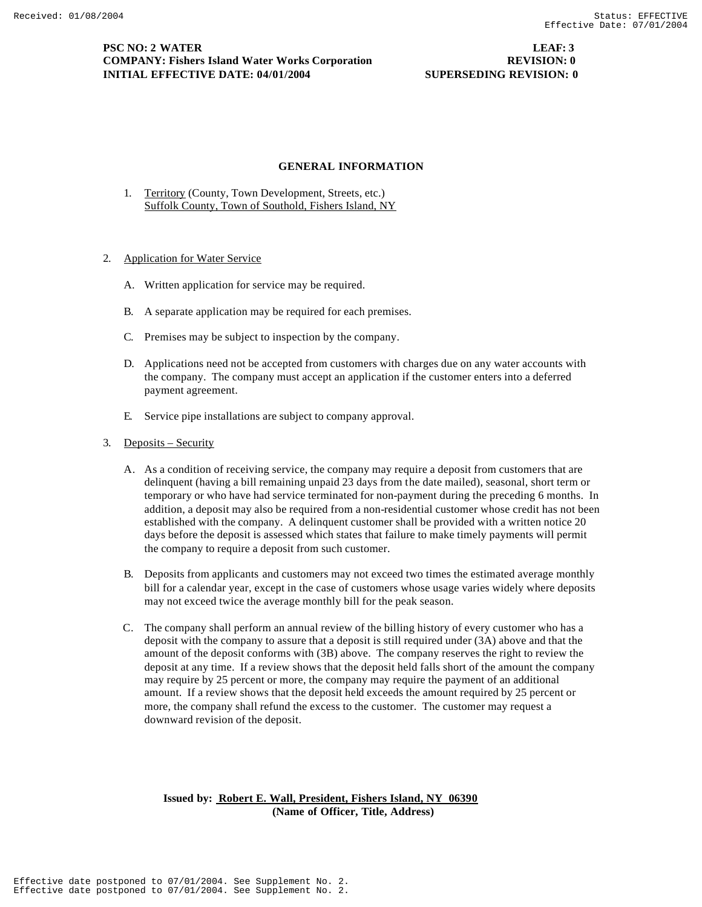### **GENERAL INFORMATION**

- 1. Territory (County, Town Development, Streets, etc.) Suffolk County, Town of Southold, Fishers Island, NY
- 2. Application for Water Service
	- A. Written application for service may be required.
	- B. A separate application may be required for each premises.
	- C. Premises may be subject to inspection by the company.
	- D. Applications need not be accepted from customers with charges due on any water accounts with the company. The company must accept an application if the customer enters into a deferred payment agreement.
	- E. Service pipe installations are subject to company approval.
- 3. Deposits Security
	- A. As a condition of receiving service, the company may require a deposit from customers that are delinquent (having a bill remaining unpaid 23 days from the date mailed), seasonal, short term or temporary or who have had service terminated for non-payment during the preceding 6 months. In addition, a deposit may also be required from a non-residential customer whose credit has not been established with the company. A delinquent customer shall be provided with a written notice 20 days before the deposit is assessed which states that failure to make timely payments will permit the company to require a deposit from such customer.
	- B. Deposits from applicants and customers may not exceed two times the estimated average monthly bill for a calendar year, except in the case of customers whose usage varies widely where deposits may not exceed twice the average monthly bill for the peak season.
	- C. The company shall perform an annual review of the billing history of every customer who has a deposit with the company to assure that a deposit is still required under (3A) above and that the amount of the deposit conforms with (3B) above. The company reserves the right to review the deposit at any time. If a review shows that the deposit held falls short of the amount the company may require by 25 percent or more, the company may require the payment of an additional amount. If a review shows that the deposit held exceeds the amount required by 25 percent or more, the company shall refund the excess to the customer. The customer may request a downward revision of the deposit.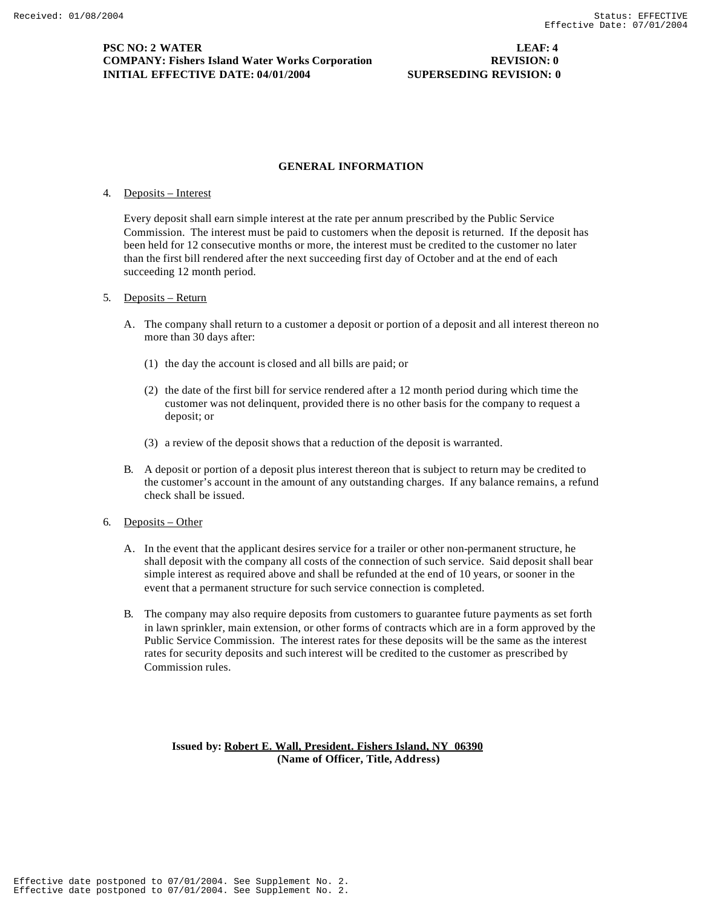# **PSC NO: 2 WATER LEAF: 4 COMPANY: Fishers Island Water Works Corporation REVISION: 0 INITIAL EFFECTIVE DATE: 04/01/2004 SUPERSEDING REVISION: 0**

# **GENERAL INFORMATION**

### 4. Deposits – Interest

Every deposit shall earn simple interest at the rate per annum prescribed by the Public Service Commission. The interest must be paid to customers when the deposit is returned. If the deposit has been held for 12 consecutive months or more, the interest must be credited to the customer no later than the first bill rendered after the next succeeding first day of October and at the end of each succeeding 12 month period.

### 5. Deposits – Return

- A. The company shall return to a customer a deposit or portion of a deposit and all interest thereon no more than 30 days after:
	- (1) the day the account is closed and all bills are paid; or
	- (2) the date of the first bill for service rendered after a 12 month period during which time the customer was not delinquent, provided there is no other basis for the company to request a deposit; or
	- (3) a review of the deposit shows that a reduction of the deposit is warranted.
- B. A deposit or portion of a deposit plus interest thereon that is subject to return may be credited to the customer's account in the amount of any outstanding charges. If any balance remains, a refund check shall be issued.

# 6. Deposits – Other

- A. In the event that the applicant desires service for a trailer or other non-permanent structure, he shall deposit with the company all costs of the connection of such service. Said deposit shall bear simple interest as required above and shall be refunded at the end of 10 years, or sooner in the event that a permanent structure for such service connection is completed.
- B. The company may also require deposits from customers to guarantee future payments as set forth in lawn sprinkler, main extension, or other forms of contracts which are in a form approved by the Public Service Commission. The interest rates for these deposits will be the same as the interest rates for security deposits and such interest will be credited to the customer as prescribed by Commission rules.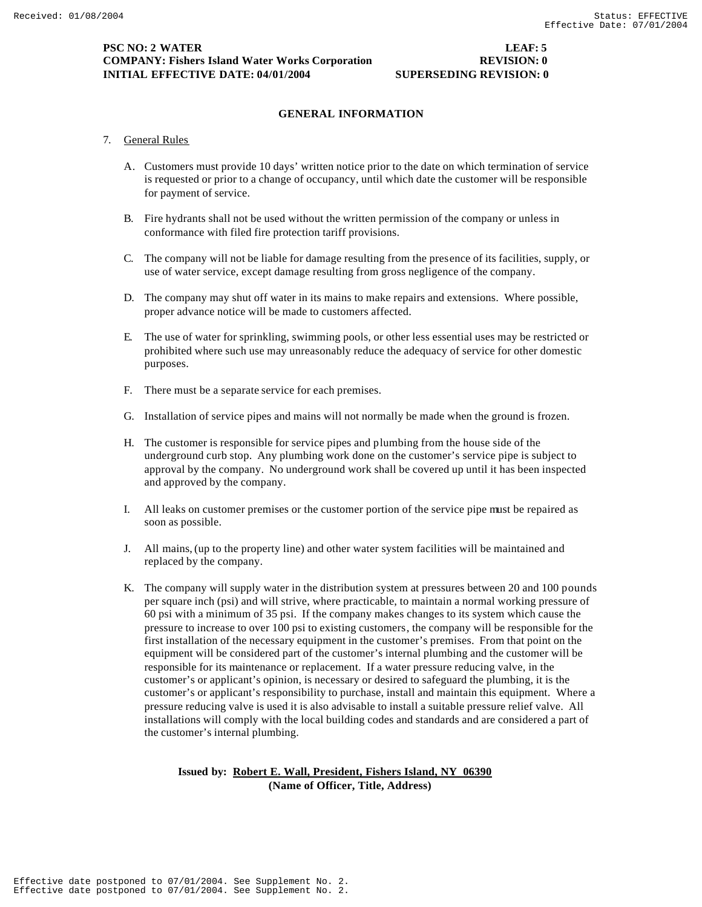# **PSC NO: 2 WATER LEAF: 5 COMPANY: Fishers Island Water Works Corporation REVISION: 0 INITIAL EFFECTIVE DATE: 04/01/2004 SUPERSEDING REVISION: 0**

# **GENERAL INFORMATION**

# 7. General Rules

- A. Customers must provide 10 days' written notice prior to the date on which termination of service is requested or prior to a change of occupancy, until which date the customer will be responsible for payment of service.
- B. Fire hydrants shall not be used without the written permission of the company or unless in conformance with filed fire protection tariff provisions.
- C. The company will not be liable for damage resulting from the presence of its facilities, supply, or use of water service, except damage resulting from gross negligence of the company.
- D. The company may shut off water in its mains to make repairs and extensions. Where possible, proper advance notice will be made to customers affected.
- E. The use of water for sprinkling, swimming pools, or other less essential uses may be restricted or prohibited where such use may unreasonably reduce the adequacy of service for other domestic purposes.
- F. There must be a separate service for each premises.
- G. Installation of service pipes and mains will not normally be made when the ground is frozen.
- H. The customer is responsible for service pipes and plumbing from the house side of the underground curb stop. Any plumbing work done on the customer's service pipe is subject to approval by the company. No underground work shall be covered up until it has been inspected and approved by the company.
- I. All leaks on customer premises or the customer portion of the service pipe must be repaired as soon as possible.
- J. All mains, (up to the property line) and other water system facilities will be maintained and replaced by the company.
- K. The company will supply water in the distribution system at pressures between 20 and 100 pounds per square inch (psi) and will strive, where practicable, to maintain a normal working pressure of 60 psi with a minimum of 35 psi. If the company makes changes to its system which cause the pressure to increase to over 100 psi to existing customers, the company will be responsible for the first installation of the necessary equipment in the customer's premises. From that point on the equipment will be considered part of the customer's internal plumbing and the customer will be responsible for its maintenance or replacement. If a water pressure reducing valve, in the customer's or applicant's opinion, is necessary or desired to safeguard the plumbing, it is the customer's or applicant's responsibility to purchase, install and maintain this equipment. Where a pressure reducing valve is used it is also advisable to install a suitable pressure relief valve. All installations will comply with the local building codes and standards and are considered a part of the customer's internal plumbing.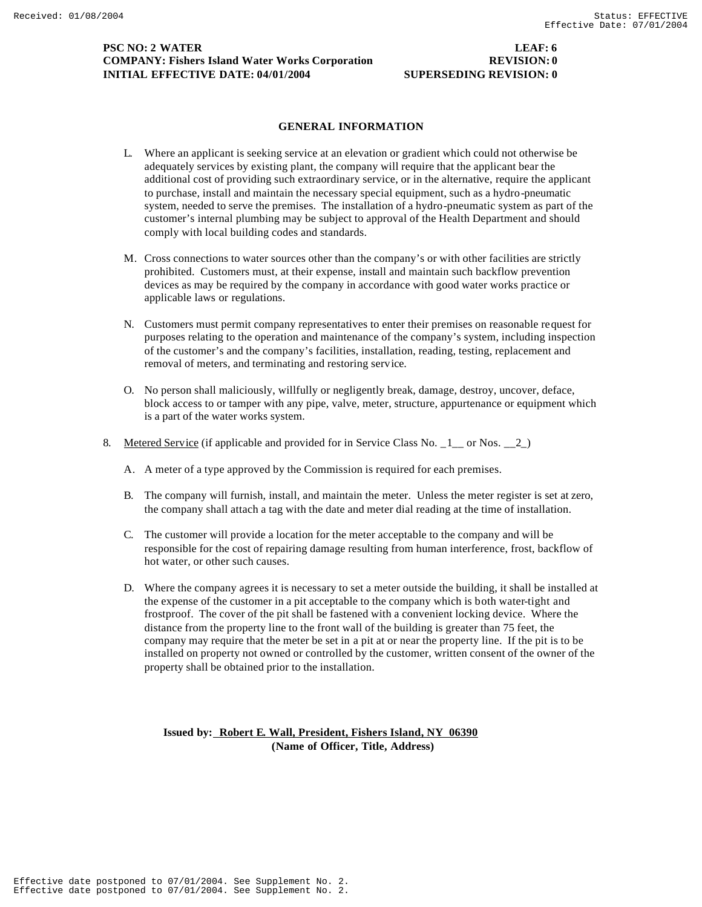# **PSC NO: 2 WATER LEAF: 6 COMPANY: Fishers Island Water Works Corporation REVISION: 0 INITIAL EFFECTIVE DATE: 04/01/2004 SUPERSEDING REVISION: 0**

# **GENERAL INFORMATION**

- L. Where an applicant is seeking service at an elevation or gradient which could not otherwise be adequately services by existing plant, the company will require that the applicant bear the additional cost of providing such extraordinary service, or in the alternative, require the applicant to purchase, install and maintain the necessary special equipment, such as a hydro-pneumatic system, needed to serve the premises. The installation of a hydro-pneumatic system as part of the customer's internal plumbing may be subject to approval of the Health Department and should comply with local building codes and standards.
- M. Cross connections to water sources other than the company's or with other facilities are strictly prohibited. Customers must, at their expense, install and maintain such backflow prevention devices as may be required by the company in accordance with good water works practice or applicable laws or regulations.
- N. Customers must permit company representatives to enter their premises on reasonable request for purposes relating to the operation and maintenance of the company's system, including inspection of the customer's and the company's facilities, installation, reading, testing, replacement and removal of meters, and terminating and restoring service.
- O. No person shall maliciously, willfully or negligently break, damage, destroy, uncover, deface, block access to or tamper with any pipe, valve, meter, structure, appurtenance or equipment which is a part of the water works system.
- 8. Metered Service (if applicable and provided for in Service Class No.  $1 \text{ or Nos. } 2$ )
	- A. A meter of a type approved by the Commission is required for each premises.
	- B. The company will furnish, install, and maintain the meter. Unless the meter register is set at zero, the company shall attach a tag with the date and meter dial reading at the time of installation.
	- C. The customer will provide a location for the meter acceptable to the company and will be responsible for the cost of repairing damage resulting from human interference, frost, backflow of hot water, or other such causes.
	- D. Where the company agrees it is necessary to set a meter outside the building, it shall be installed at the expense of the customer in a pit acceptable to the company which is both water-tight and frostproof. The cover of the pit shall be fastened with a convenient locking device. Where the distance from the property line to the front wall of the building is greater than 75 feet, the company may require that the meter be set in a pit at or near the property line. If the pit is to be installed on property not owned or controlled by the customer, written consent of the owner of the property shall be obtained prior to the installation.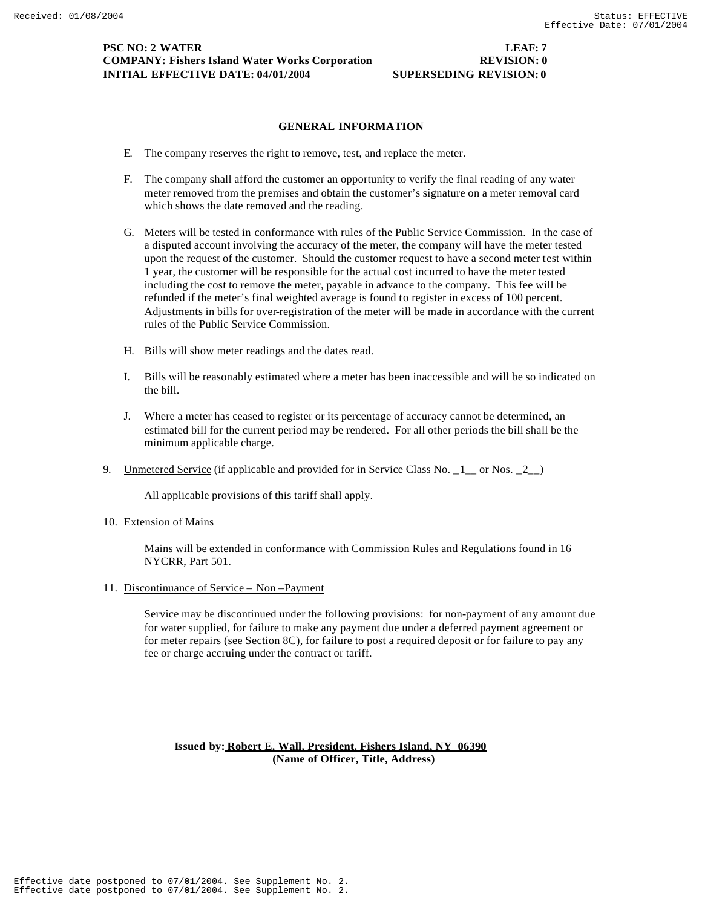# **GENERAL INFORMATION**

- E. The company reserves the right to remove, test, and replace the meter.
- F. The company shall afford the customer an opportunity to verify the final reading of any water meter removed from the premises and obtain the customer's signature on a meter removal card which shows the date removed and the reading.
- G. Meters will be tested in conformance with rules of the Public Service Commission. In the case of a disputed account involving the accuracy of the meter, the company will have the meter tested upon the request of the customer. Should the customer request to have a second meter test within 1 year, the customer will be responsible for the actual cost incurred to have the meter tested including the cost to remove the meter, payable in advance to the company. This fee will be refunded if the meter's final weighted average is found to register in excess of 100 percent. Adjustments in bills for over-registration of the meter will be made in accordance with the current rules of the Public Service Commission.
- H. Bills will show meter readings and the dates read.
- I. Bills will be reasonably estimated where a meter has been inaccessible and will be so indicated on the bill.
- J. Where a meter has ceased to register or its percentage of accuracy cannot be determined, an estimated bill for the current period may be rendered. For all other periods the bill shall be the minimum applicable charge.
- 9. <u>Unmetered Service</u> (if applicable and provided for in Service Class No. 1 \_ or Nos. 2 \_)

All applicable provisions of this tariff shall apply.

10. Extension of Mains

Mains will be extended in conformance with Commission Rules and Regulations found in 16 NYCRR, Part 501.

11. Discontinuance of Service – Non –Payment

Service may be discontinued under the following provisions: for non-payment of any amount due for water supplied, for failure to make any payment due under a deferred payment agreement or for meter repairs (see Section 8C), for failure to post a required deposit or for failure to pay any fee or charge accruing under the contract or tariff.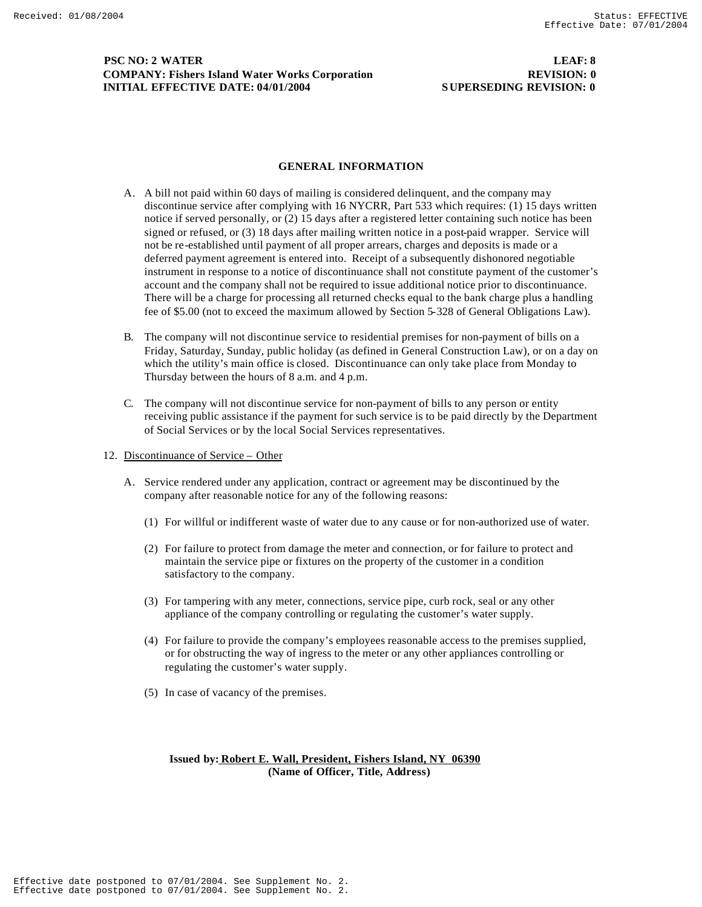# **PSC NO: 2 WATER LEAF: 8 COMPANY: Fishers Island Water Works Corporation REVISION: 0 INITIAL EFFECTIVE DATE: 04/01/2004 SUPERSEDING REVISION: 0**

#### **GENERAL INFORMATION**

- A. A bill not paid within 60 days of mailing is considered delinquent, and the company may discontinue service after complying with 16 NYCRR, Part 533 which requires: (1) 15 days written notice if served personally, or (2) 15 days after a registered letter containing such notice has been signed or refused, or (3) 18 days after mailing written notice in a post-paid wrapper. Service will not be re-established until payment of all proper arrears, charges and deposits is made or a deferred payment agreement is entered into. Receipt of a subsequently dishonored negotiable instrument in response to a notice of discontinuance shall not constitute payment of the customer's account and the company shall not be required to issue additional notice prior to discontinuance. There will be a charge for processing all returned checks equal to the bank charge plus a handling fee of \$5.00 (not to exceed the maximum allowed by Section 5-328 of General Obligations Law).
- B. The company will not discontinue service to residential premises for non-payment of bills on a Friday, Saturday, Sunday, public holiday (as defined in General Construction Law), or on a day on which the utility's main office is closed. Discontinuance can only take place from Monday to Thursday between the hours of 8 a.m. and 4 p.m.
- C. The company will not discontinue service for non-payment of bills to any person or entity receiving public assistance if the payment for such service is to be paid directly by the Department of Social Services or by the local Social Services representatives.
- 12. Discontinuance of Service Other
	- A. Service rendered under any application, contract or agreement may be discontinued by the company after reasonable notice for any of the following reasons:
		- (1) For willful or indifferent waste of water due to any cause or for non-authorized use of water.
		- (2) For failure to protect from damage the meter and connection, or for failure to protect and maintain the service pipe or fixtures on the property of the customer in a condition satisfactory to the company.
		- (3) For tampering with any meter, connections, service pipe, curb rock, seal or any other appliance of the company controlling or regulating the customer's water supply.
		- (4) For failure to provide the company's employees reasonable access to the premises supplied, or for obstructing the way of ingress to the meter or any other appliances controlling or regulating the customer's water supply.
		- (5) In case of vacancy of the premises.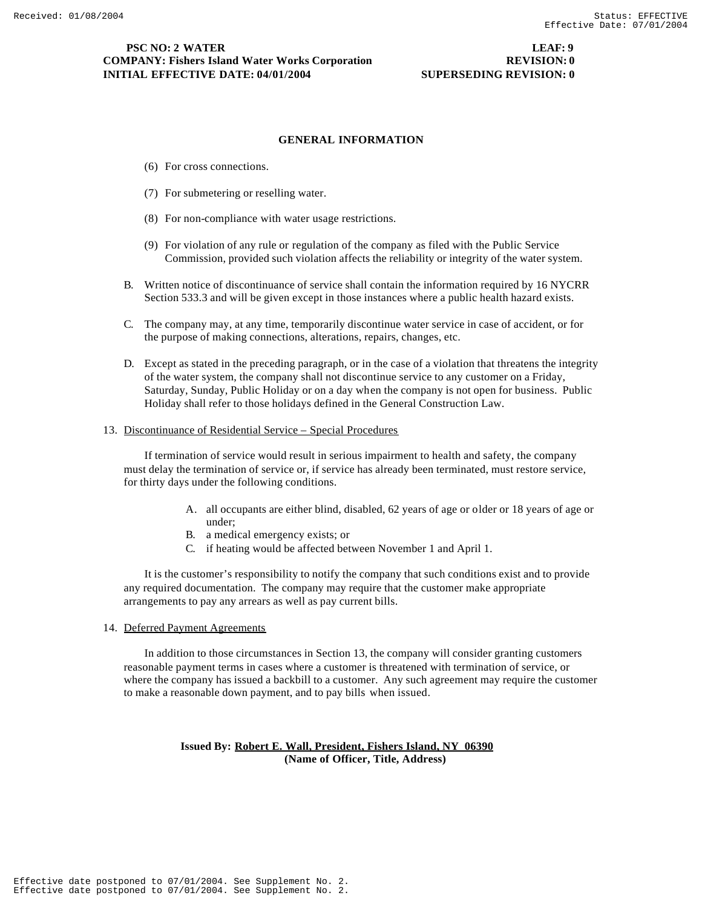# **GENERAL INFORMATION**

- (6) For cross connections.
- (7) For submetering or reselling water.
- (8) For non-compliance with water usage restrictions.
- (9) For violation of any rule or regulation of the company as filed with the Public Service Commission, provided such violation affects the reliability or integrity of the water system.
- B. Written notice of discontinuance of service shall contain the information required by 16 NYCRR Section 533.3 and will be given except in those instances where a public health hazard exists.
- C. The company may, at any time, temporarily discontinue water service in case of accident, or for the purpose of making connections, alterations, repairs, changes, etc.
- D. Except as stated in the preceding paragraph, or in the case of a violation that threatens the integrity of the water system, the company shall not discontinue service to any customer on a Friday, Saturday, Sunday, Public Holiday or on a day when the company is not open for business. Public Holiday shall refer to those holidays defined in the General Construction Law.

#### 13. Discontinuance of Residential Service – Special Procedures

If termination of service would result in serious impairment to health and safety, the company must delay the termination of service or, if service has already been terminated, must restore service, for thirty days under the following conditions.

- A. all occupants are either blind, disabled, 62 years of age or older or 18 years of age or under;
- B. a medical emergency exists; or
- C. if heating would be affected between November 1 and April 1.

It is the customer's responsibility to notify the company that such conditions exist and to provide any required documentation. The company may require that the customer make appropriate arrangements to pay any arrears as well as pay current bills.

14. Deferred Payment Agreements

In addition to those circumstances in Section 13, the company will consider granting customers reasonable payment terms in cases where a customer is threatened with termination of service, or where the company has issued a backbill to a customer. Any such agreement may require the customer to make a reasonable down payment, and to pay bills when issued.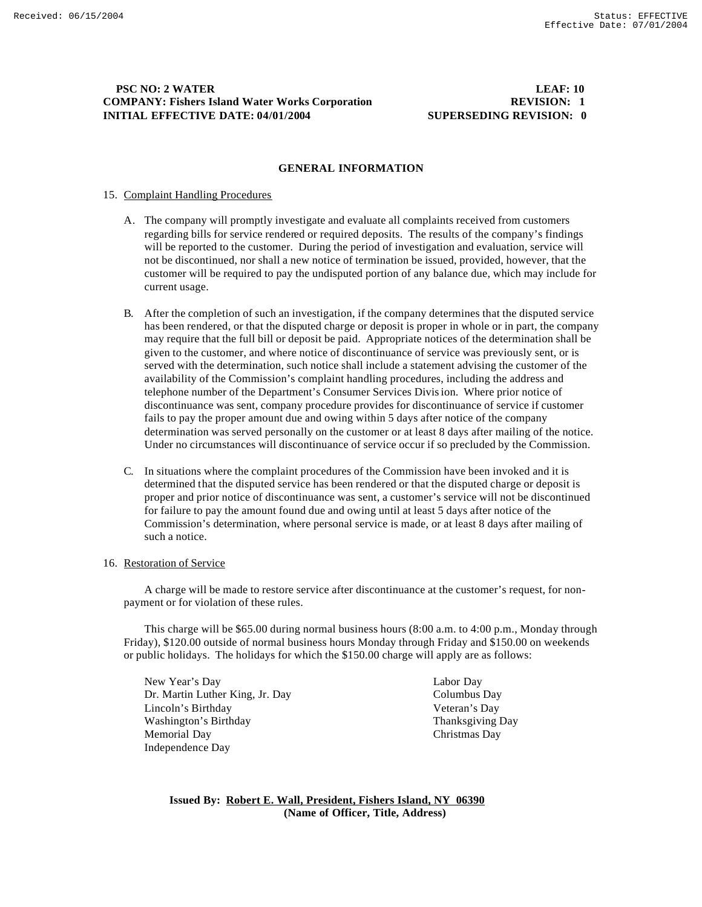# **PSC NO: 2 WATER LEAF: 10 COMPANY: Fishers Island Water Works Corporation REVISION: 1 INITIAL EFFECTIVE DATE: 04/01/2004 SUPERSEDING REVISION: 0**

### **GENERAL INFORMATION**

### 15. Complaint Handling Procedures

- A. The company will promptly investigate and evaluate all complaints received from customers regarding bills for service rendered or required deposits. The results of the company's findings will be reported to the customer. During the period of investigation and evaluation, service will not be discontinued, nor shall a new notice of termination be issued, provided, however, that the customer will be required to pay the undisputed portion of any balance due, which may include for current usage.
- B. After the completion of such an investigation, if the company determines that the disputed service has been rendered, or that the disputed charge or deposit is proper in whole or in part, the company may require that the full bill or deposit be paid. Appropriate notices of the determination shall be given to the customer, and where notice of discontinuance of service was previously sent, or is served with the determination, such notice shall include a statement advising the customer of the availability of the Commission's complaint handling procedures, including the address and telephone number of the Department's Consumer Services Division. Where prior notice of discontinuance was sent, company procedure provides for discontinuance of service if customer fails to pay the proper amount due and owing within 5 days after notice of the company determination was served personally on the customer or at least 8 days after mailing of the notice. Under no circumstances will discontinuance of service occur if so precluded by the Commission.
- C. In situations where the complaint procedures of the Commission have been invoked and it is determined that the disputed service has been rendered or that the disputed charge or deposit is proper and prior notice of discontinuance was sent, a customer's service will not be discontinued for failure to pay the amount found due and owing until at least 5 days after notice of the Commission's determination, where personal service is made, or at least 8 days after mailing of such a notice.

#### 16. Restoration of Service

A charge will be made to restore service after discontinuance at the customer's request, for nonpayment or for violation of these rules.

This charge will be \$65.00 during normal business hours (8:00 a.m. to 4:00 p.m., Monday through Friday), \$120.00 outside of normal business hours Monday through Friday and \$150.00 on weekends or public holidays. The holidays for which the \$150.00 charge will apply are as follows:

New Year's Day Labor Day Dr. Martin Luther King, Jr. Day Columbus Day Lincoln's Birthday Veteran's Day Washington's Birthday Thanksgiving Day Memorial Day Christmas Day Independence Day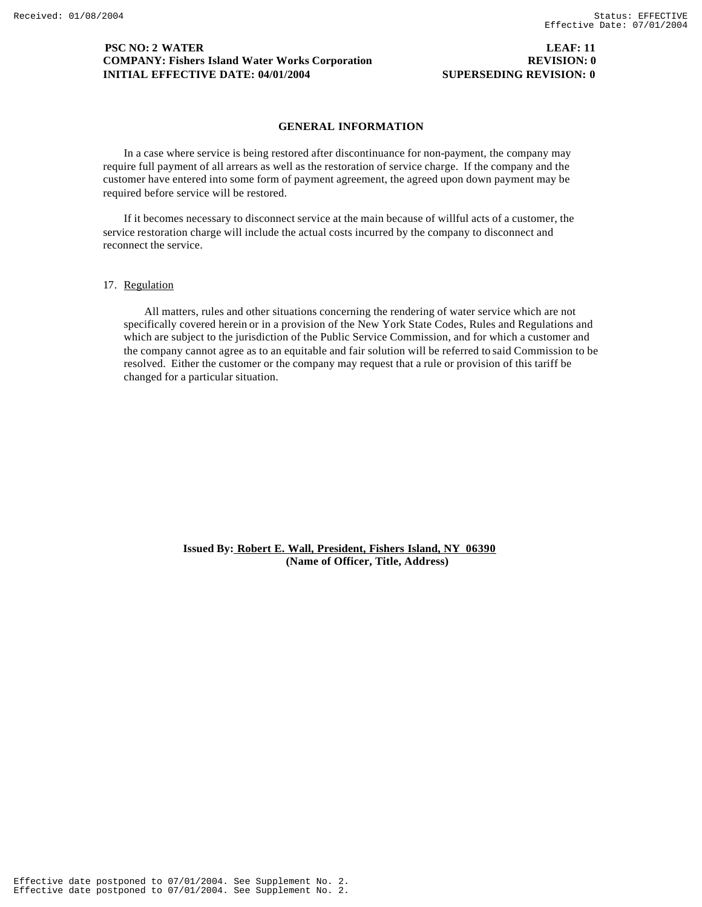# **PSC NO: 2 WATER LEAF: 11 COMPANY: Fishers Island Water Works Corporation REVISION: 0 INITIAL EFFECTIVE DATE: 04/01/2004 SUPERSEDING REVISION: 0**

# **GENERAL INFORMATION**

In a case where service is being restored after discontinuance for non-payment, the company may require full payment of all arrears as well as the restoration of service charge. If the company and the customer have entered into some form of payment agreement, the agreed upon down payment may be required before service will be restored.

If it becomes necessary to disconnect service at the main because of willful acts of a customer, the service restoration charge will include the actual costs incurred by the company to disconnect and reconnect the service.

## 17. Regulation

All matters, rules and other situations concerning the rendering of water service which are not specifically covered herein or in a provision of the New York State Codes, Rules and Regulations and which are subject to the jurisdiction of the Public Service Commission, and for which a customer and the company cannot agree as to an equitable and fair solution will be referred to said Commission to be resolved. Either the customer or the company may request that a rule or provision of this tariff be changed for a particular situation.

> **Issued By: Robert E. Wall, President, Fishers Island, NY 06390 (Name of Officer, Title, Address)**

Effective date postponed to 07/01/2004. See Supplement No. 2. Effective date postponed to 07/01/2004. See Supplement No. 2.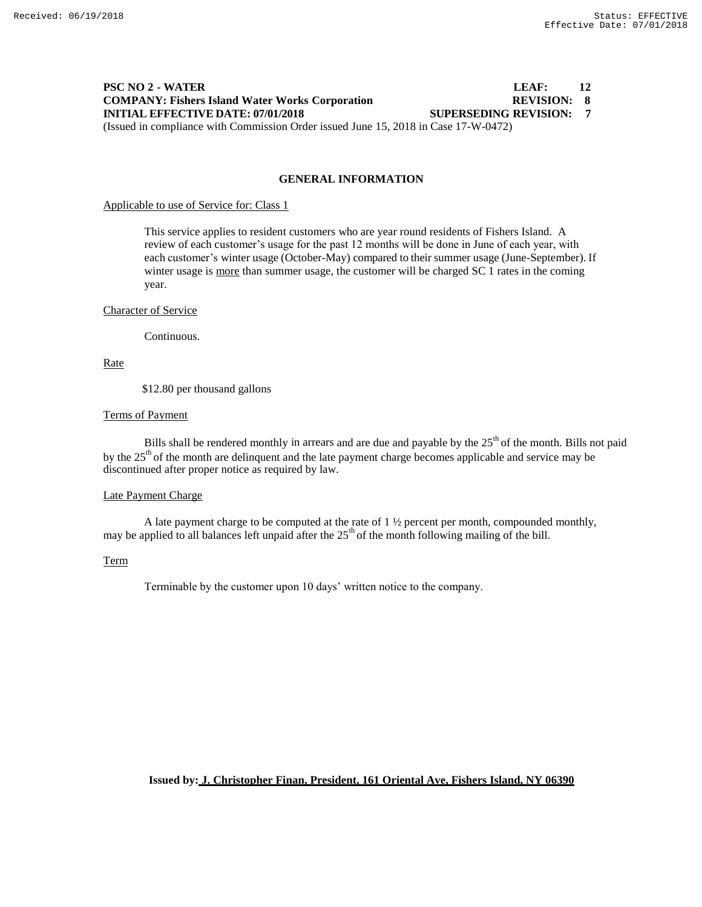# **PSC NO 2 - WATER LEAF: 12 COMPANY: Fishers Island Water Works Corporation REVISION: 8 INITIAL EFFECTIVE DATE: 07/01/2018 SUPERSEDING REVISION: 7** (Issued in compliance with Commission Order issued June 15, 2018 in Case 17-W-0472)

**GENERAL INFORMATION**

Applicable to use of Service for: Class 1

This service applies to resident customers who are year round residents of Fishers Island. A review of each customer's usage for the past 12 months will be done in June of each year, with each customer's winter usage (October-May) compared to their summer usage (June-September). If winter usage is more than summer usage, the customer will be charged SC 1 rates in the coming year.

#### Character of Service

Continuous.

Rate

\$12.80 per thousand gallons

# Terms of Payment

Bills shall be rendered monthly in arrears and are due and payable by the  $25<sup>th</sup>$  of the month. Bills not paid by the  $25<sup>th</sup>$  of the month are delinquent and the late payment charge becomes applicable and service may be discontinued after proper notice as required by law.

#### Late Payment Charge

A late payment charge to be computed at the rate of 1 ½ percent per month, compounded monthly, may be applied to all balances left unpaid after the  $25<sup>th</sup>$  of the month following mailing of the bill.

# Term

Terminable by the customer upon 10 days' written notice to the company.

**Issued by: J. Christopher Finan, President, 161 Oriental Ave, Fishers Island, NY 06390**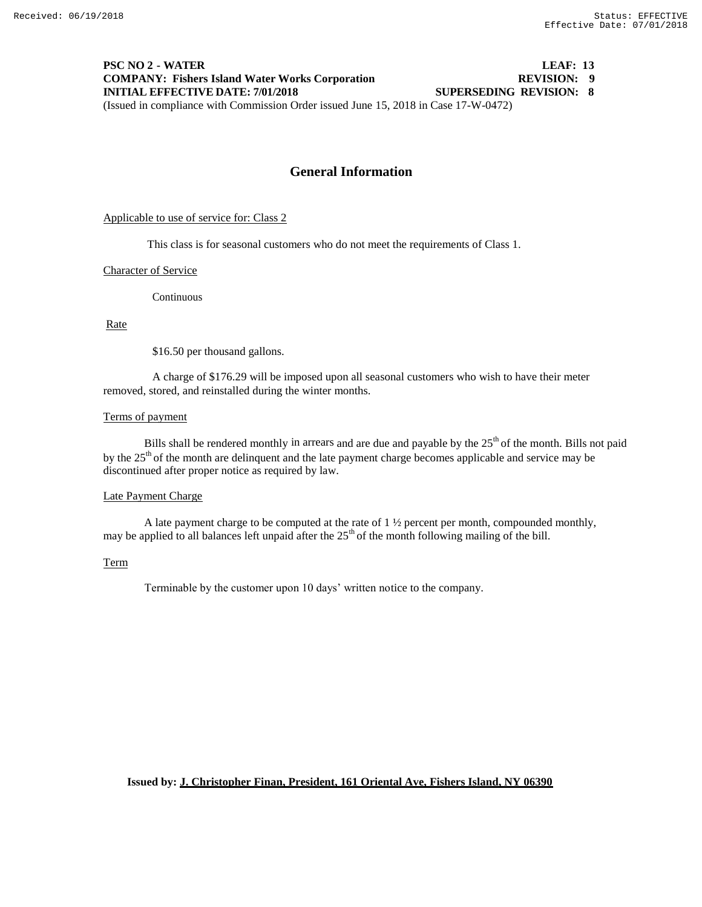# **PSC NO 2 - WATER LEAF: 13 COMPANY: Fishers Island Water Works Corporation REVISION: 9 INITIAL EFFECTIVE DATE: 7/01/2018 SUPERSEDING REVISION: 8** (Issued in compliance with Commission Order issued June 15, 2018 in Case 17-W-0472)

# **General Information**

#### Applicable to use of service for: Class 2

This class is for seasonal customers who do not meet the requirements of Class 1.

#### Character of Service

Continuous

#### Rate

\$16.50 per thousand gallons.

A charge of \$176.29 will be imposed upon all seasonal customers who wish to have their meter removed, stored, and reinstalled during the winter months.

#### Terms of payment

Bills shall be rendered monthly in arrears and are due and payable by the  $25<sup>th</sup>$  of the month. Bills not paid by the  $25<sup>th</sup>$  of the month are delinquent and the late payment charge becomes applicable and service may be discontinued after proper notice as required by law.

#### Late Payment Charge

A late payment charge to be computed at the rate of 1 ½ percent per month, compounded monthly, may be applied to all balances left unpaid after the  $25<sup>th</sup>$  of the month following mailing of the bill.

#### Term

Terminable by the customer upon 10 days' written notice to the company.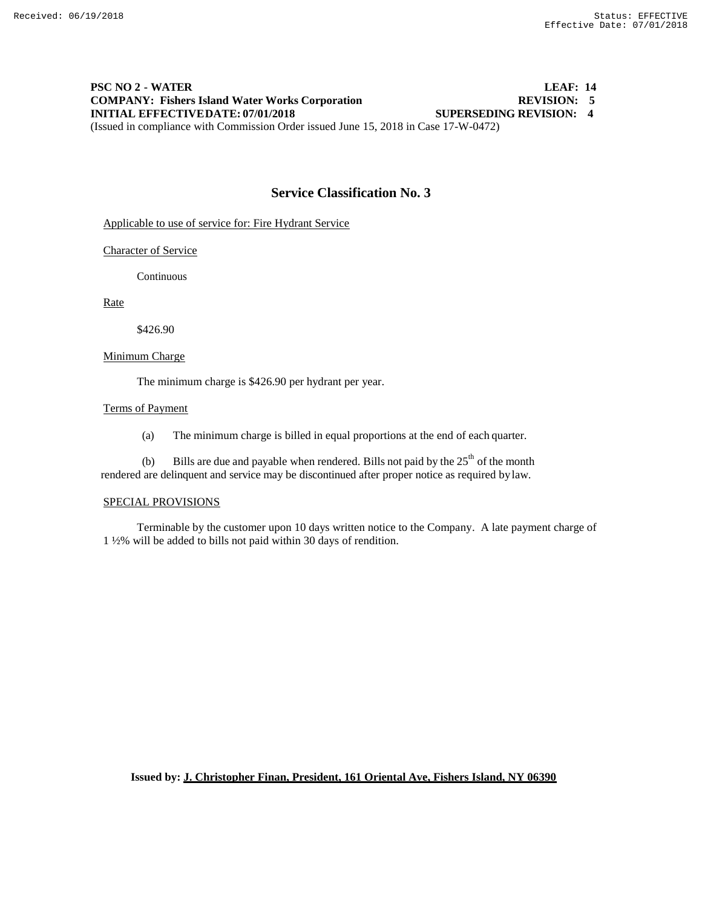# **PSC NO 2 - WATER LEAF: 14 COMPANY: Fishers Island Water Works Corporation**<br> **REVISION: 5**<br> **REVISION: 4**<br> **SUPERSEDING REVISION: 4 INITIAL EFFECTIVEDATE: 07/01/2018** (Issued in compliance with Commission Order issued June 15, 2018 in Case 17-W-0472)

# **Service Classification No. 3**

Applicable to use of service for: Fire Hydrant Service

#### Character of Service

Continuous

Rate

\$426.90

#### Minimum Charge

The minimum charge is \$426.90 per hydrant per year.

### Terms of Payment

(a) The minimum charge is billed in equal proportions at the end of each quarter.

(b) Bills are due and payable when rendered. Bills not paid by the  $25<sup>th</sup>$  of the month rendered are delinquent and service may be discontinued after proper notice as required bylaw.

#### SPECIAL PROVISIONS

Terminable by the customer upon 10 days written notice to the Company. A late payment charge of 1 ½% will be added to bills not paid within 30 days of rendition.

**Issued by: J. Christopher Finan, President, 161 Oriental Ave, Fishers Island, NY 06390**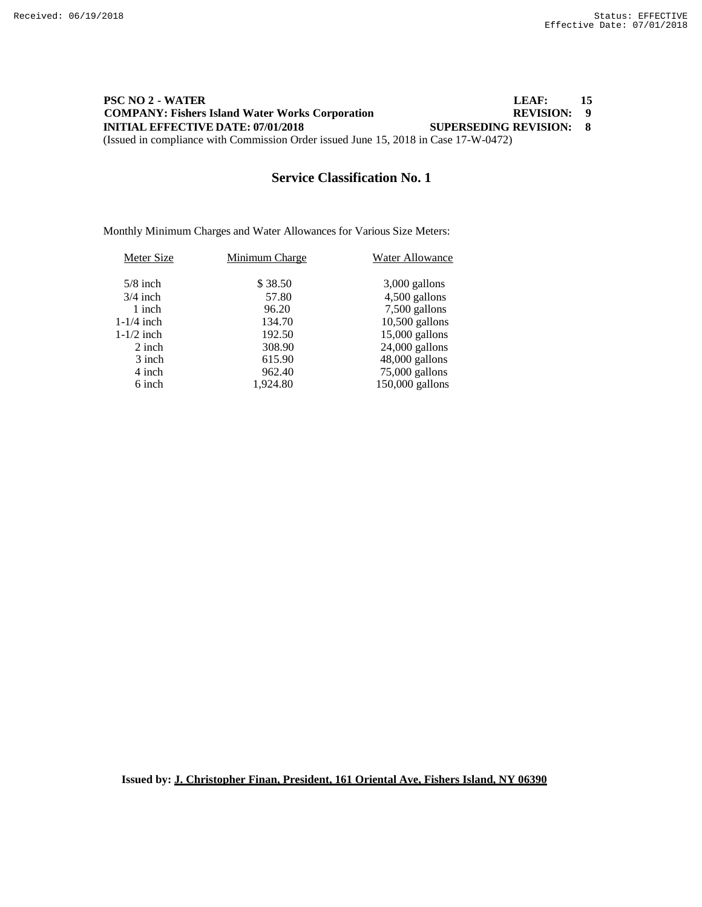# **PSC NO 2 - WATER LEAF: 15 COMPANY: Fishers Island Water Works Corporation**<br> **REVISION:** 9<br> **REVISION:** 8<br> **SUPERSEDING REVISION:** 8 **INITIAL EFFECTIVE DATE: 07/01/2018** (Issued in compliance with Commission Order issued June 15, 2018 in Case 17-W-0472)

# **Service Classification No. 1**

Monthly Minimum Charges and Water Allowances for Various Size Meters:

| Meter Size   | Minimum Charge | Water Allowance   |
|--------------|----------------|-------------------|
| $5/8$ inch   | \$38.50        | $3,000$ gallons   |
| $3/4$ inch   | 57.80          | 4,500 gallons     |
| 1 inch       | 96.20          | 7,500 gallons     |
| $1-1/4$ inch | 134.70         | $10,500$ gallons  |
| $1-1/2$ inch | 192.50         | $15,000$ gallons  |
| 2 inch       | 308.90         | $24,000$ gallons  |
| 3 inch       | 615.90         | 48,000 gallons    |
| 4 inch       | 962.40         | 75,000 gallons    |
| 6 inch       | 1.924.80       | $150,000$ gallons |

**Issued by: J. Christopher Finan, President, 161 Oriental Ave, Fishers Island, NY 06390**